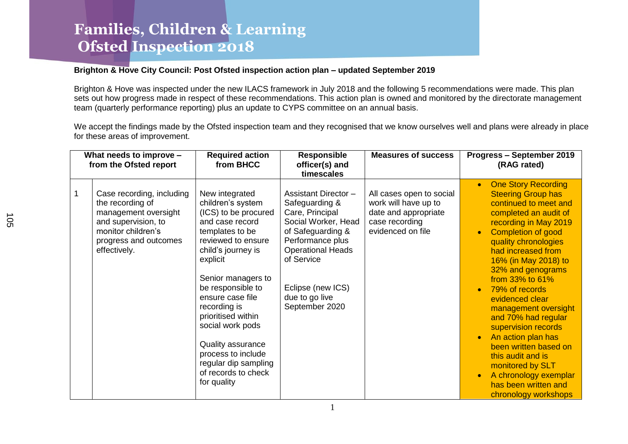#### **Brighton & Hove City Council: Post Ofsted inspection action plan – updated September 2019**

Brighton & Hove was inspected under the new ILACS framework in July 2018 and the following 5 recommendations were made. This plan sets out how progress made in respect of these recommendations. This action plan is owned and monitored by the directorate management team (quarterly performance reporting) plus an update to CYPS committee on an annual basis.

We accept the findings made by the Ofsted inspection team and they recognised that we know ourselves well and plans were already in place for these areas of improvement.

| What needs to improve -<br>from the Ofsted report |                                                                                                                                                             | <b>Required action</b><br>from BHCC                                                                                                                                                                                                                                                                                                                                                         | <b>Responsible</b><br>officer(s) and<br>timescales                                                                                                                                                                                  | <b>Measures of success</b>                                                                                      | Progress - September 2019<br>(RAG rated)                                                                                                                                                                                                                                                                                                                                                                                                                                                                                                                                                                      |  |
|---------------------------------------------------|-------------------------------------------------------------------------------------------------------------------------------------------------------------|---------------------------------------------------------------------------------------------------------------------------------------------------------------------------------------------------------------------------------------------------------------------------------------------------------------------------------------------------------------------------------------------|-------------------------------------------------------------------------------------------------------------------------------------------------------------------------------------------------------------------------------------|-----------------------------------------------------------------------------------------------------------------|---------------------------------------------------------------------------------------------------------------------------------------------------------------------------------------------------------------------------------------------------------------------------------------------------------------------------------------------------------------------------------------------------------------------------------------------------------------------------------------------------------------------------------------------------------------------------------------------------------------|--|
| $\mathbf{1}$                                      | Case recording, including<br>the recording of<br>management oversight<br>and supervision, to<br>monitor children's<br>progress and outcomes<br>effectively. | New integrated<br>children's system<br>(ICS) to be procured<br>and case record<br>templates to be<br>reviewed to ensure<br>child's journey is<br>explicit<br>Senior managers to<br>be responsible to<br>ensure case file<br>recording is<br>prioritised within<br>social work pods<br>Quality assurance<br>process to include<br>regular dip sampling<br>of records to check<br>for quality | <b>Assistant Director -</b><br>Safeguarding &<br>Care, Principal<br>Social Worker, Head<br>of Safeguarding &<br>Performance plus<br><b>Operational Heads</b><br>of Service<br>Eclipse (new ICS)<br>due to go live<br>September 2020 | All cases open to social<br>work will have up to<br>date and appropriate<br>case recording<br>evidenced on file | <b>One Story Recording</b><br><b>Steering Group has</b><br>continued to meet and<br>completed an audit of<br>recording in May 2019<br><b>Completion of good</b><br>$\bullet$<br>quality chronologies<br>had increased from<br>16% (in May 2018) to<br>32% and genograms<br>from 33% to 61%<br>79% of records<br>$\bullet$<br>evidenced clear<br>management oversight<br>and 70% had regular<br>supervision records<br>An action plan has<br>$\bullet$<br>been written based on<br>this audit and is<br>monitored by SLT<br>A chronology exemplar<br>$\bullet$<br>has been written and<br>chronology workshops |  |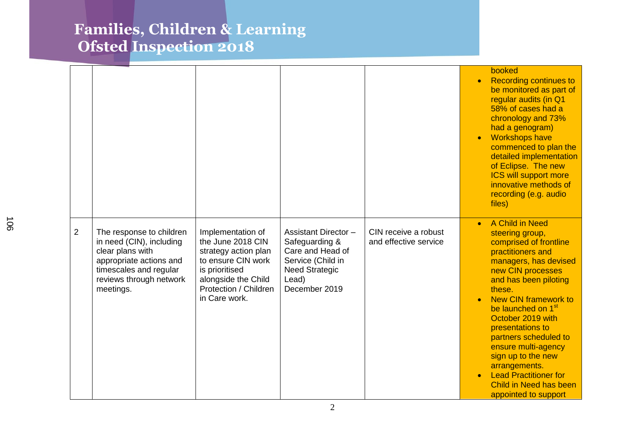|                |                                                                                                                                                                       |                                                                                                                                                                         |                                                                                                                                           |                                               | booked<br><b>Recording continues to</b><br>be monitored as part of<br>regular audits (in Q1<br>58% of cases had a<br>chronology and 73%<br>had a genogram)<br><b>Workshops have</b><br>commenced to plan the<br>detailed implementation<br>of Eclipse. The new<br><b>ICS will support more</b><br>innovative methods of<br>recording (e.g. audio<br>files)                                                                                            |
|----------------|-----------------------------------------------------------------------------------------------------------------------------------------------------------------------|-------------------------------------------------------------------------------------------------------------------------------------------------------------------------|-------------------------------------------------------------------------------------------------------------------------------------------|-----------------------------------------------|-------------------------------------------------------------------------------------------------------------------------------------------------------------------------------------------------------------------------------------------------------------------------------------------------------------------------------------------------------------------------------------------------------------------------------------------------------|
| $\overline{2}$ | The response to children<br>in need (CIN), including<br>clear plans with<br>appropriate actions and<br>timescales and regular<br>reviews through network<br>meetings. | Implementation of<br>the June 2018 CIN<br>strategy action plan<br>to ensure CIN work<br>is prioritised<br>alongside the Child<br>Protection / Children<br>in Care work. | <b>Assistant Director -</b><br>Safeguarding &<br>Care and Head of<br>Service (Child in<br><b>Need Strategic</b><br>Lead)<br>December 2019 | CIN receive a robust<br>and effective service | A Child in Need<br>steering group,<br>comprised of frontline<br>practitioners and<br>managers, has devised<br>new CIN processes<br>and has been piloting<br>these.<br><b>New CIN framework to</b><br>be launched on 1 <sup>st</sup><br>October 2019 with<br>presentations to<br>partners scheduled to<br>ensure multi-agency<br>sign up to the new<br>arrangements.<br><b>Lead Practitioner for</b><br>Child in Need has been<br>appointed to support |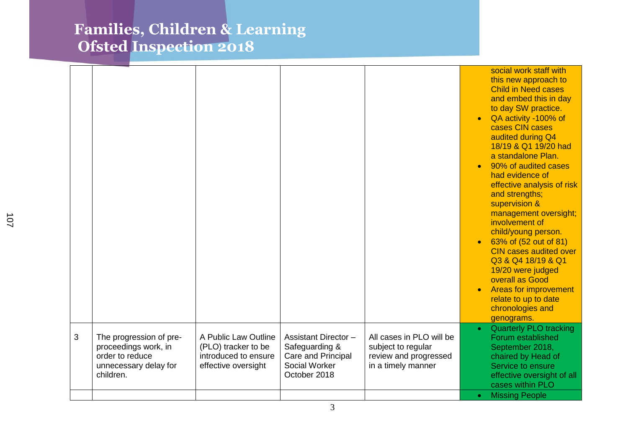|   |                                                                                                          |                                                                                            |                                                                                                      |                                                                                               | $\bullet$ | social work staff with<br>this new approach to<br><b>Child in Need cases</b><br>and embed this in day<br>to day SW practice.<br>QA activity -100% of<br>cases CIN cases<br>audited during Q4<br>18/19 & Q1 19/20 had<br>a standalone Plan.<br>90% of audited cases<br>had evidence of<br>effective analysis of risk<br>and strengths;<br>supervision &<br>management oversight;<br>involvement of<br>child/young person.<br>63% of (52 out of 81)<br><b>CIN cases audited over</b><br>Q3 & Q4 18/19 & Q1<br>19/20 were judged<br>overall as Good<br><b>Areas for improvement</b><br>relate to up to date<br>chronologies and<br>genograms. |
|---|----------------------------------------------------------------------------------------------------------|--------------------------------------------------------------------------------------------|------------------------------------------------------------------------------------------------------|-----------------------------------------------------------------------------------------------|-----------|--------------------------------------------------------------------------------------------------------------------------------------------------------------------------------------------------------------------------------------------------------------------------------------------------------------------------------------------------------------------------------------------------------------------------------------------------------------------------------------------------------------------------------------------------------------------------------------------------------------------------------------------|
| 3 | The progression of pre-<br>proceedings work, in<br>order to reduce<br>unnecessary delay for<br>children. | A Public Law Outline<br>(PLO) tracker to be<br>introduced to ensure<br>effective oversight | <b>Assistant Director -</b><br>Safeguarding &<br>Care and Principal<br>Social Worker<br>October 2018 | All cases in PLO will be<br>subject to regular<br>review and progressed<br>in a timely manner | $\bullet$ | <b>Quarterly PLO tracking</b><br>Forum established<br>September 2018,<br>chaired by Head of<br>Service to ensure<br>effective oversight of all<br>cases within PLO                                                                                                                                                                                                                                                                                                                                                                                                                                                                         |
|   |                                                                                                          |                                                                                            |                                                                                                      |                                                                                               | $\bullet$ | <b>Missing People</b>                                                                                                                                                                                                                                                                                                                                                                                                                                                                                                                                                                                                                      |